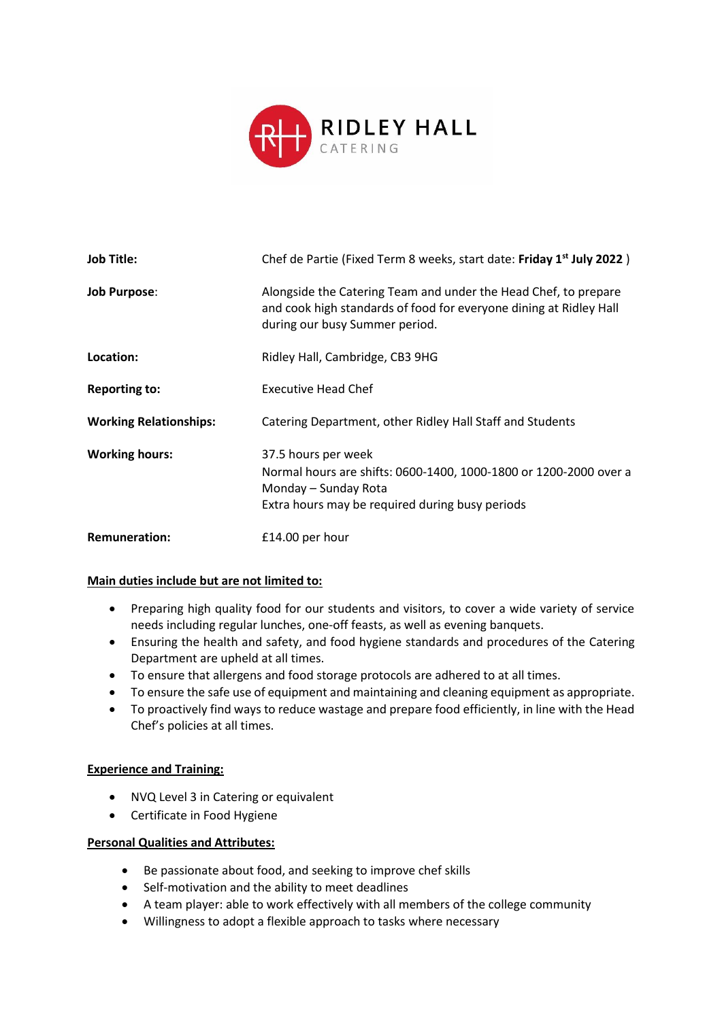

| <b>Job Title:</b>             | Chef de Partie (Fixed Term 8 weeks, start date: Friday 1 <sup>st</sup> July 2022)                                                                                       |
|-------------------------------|-------------------------------------------------------------------------------------------------------------------------------------------------------------------------|
| <b>Job Purpose:</b>           | Alongside the Catering Team and under the Head Chef, to prepare<br>and cook high standards of food for everyone dining at Ridley Hall<br>during our busy Summer period. |
| Location:                     | Ridley Hall, Cambridge, CB3 9HG                                                                                                                                         |
| <b>Reporting to:</b>          | <b>Executive Head Chef</b>                                                                                                                                              |
| <b>Working Relationships:</b> | Catering Department, other Ridley Hall Staff and Students                                                                                                               |
| <b>Working hours:</b>         | 37.5 hours per week<br>Normal hours are shifts: 0600-1400, 1000-1800 or 1200-2000 over a<br>Monday – Sunday Rota<br>Extra hours may be required during busy periods     |
| <b>Remuneration:</b>          | £14.00 per hour                                                                                                                                                         |

## **Main duties include but are not limited to:**

- Preparing high quality food for our students and visitors, to cover a wide variety of service needs including regular lunches, one-off feasts, as well as evening banquets.
- Ensuring the health and safety, and food hygiene standards and procedures of the Catering Department are upheld at all times.
- To ensure that allergens and food storage protocols are adhered to at all times.
- To ensure the safe use of equipment and maintaining and cleaning equipment as appropriate.
- To proactively find ways to reduce wastage and prepare food efficiently, in line with the Head Chef's policies at all times.

## **Experience and Training:**

- NVQ Level 3 in Catering or equivalent
- Certificate in Food Hygiene

## **Personal Qualities and Attributes:**

- Be passionate about food, and seeking to improve chef skills
- Self-motivation and the ability to meet deadlines
- A team player: able to work effectively with all members of the college community
- Willingness to adopt a flexible approach to tasks where necessary